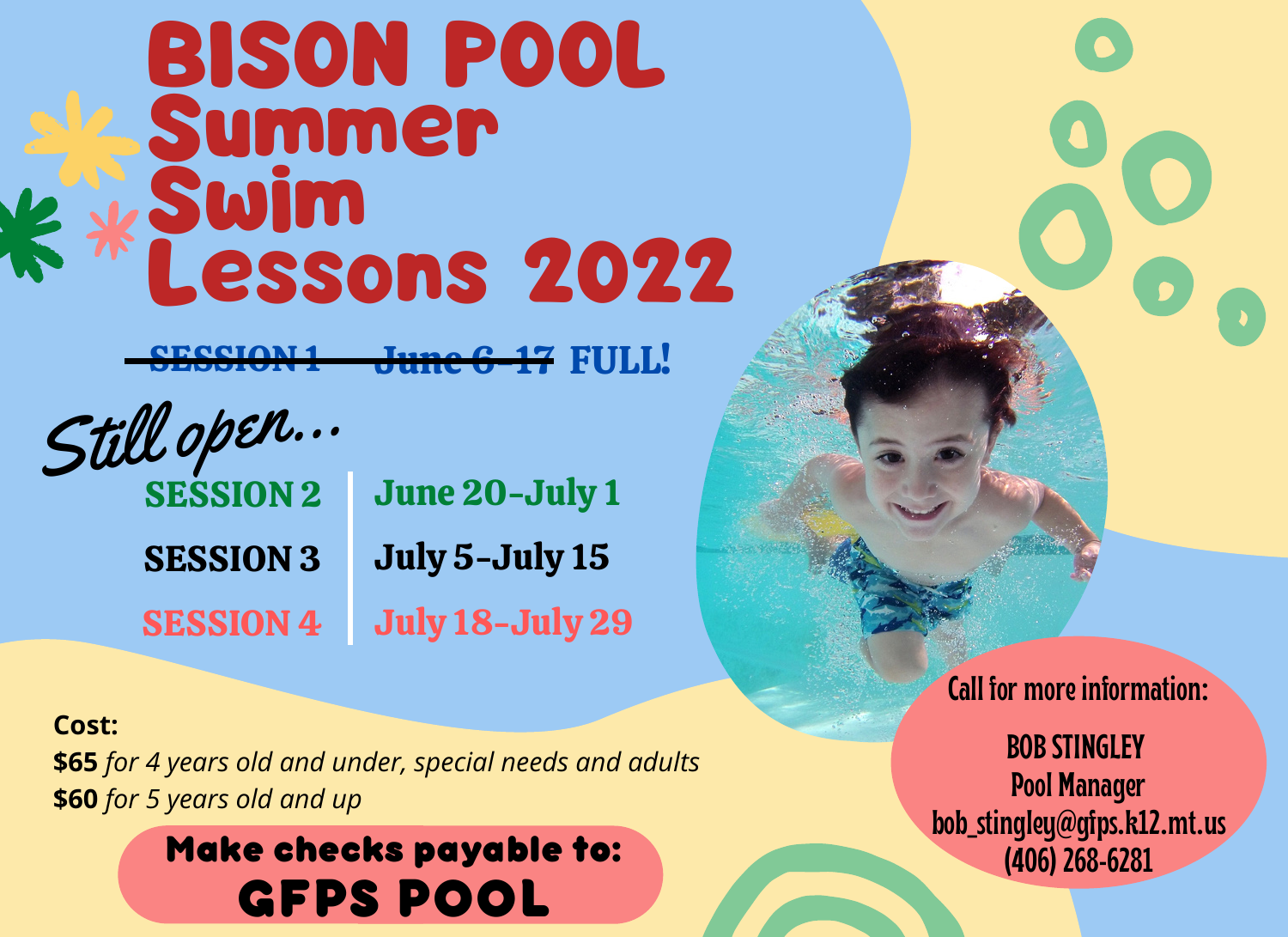# BISON POOL Summer Swim Lessons 2022

SESSION 1 June 6-17 FULL!

**SESSION 2** SESSION 3 SESSION 4 June 20-July 1 July 5-July 15 July 18-July 29 Still open...

## **Cost:**

**\$65** *for 4 years old and under, special needs and adults* **\$60** *for 5 years old and up*

> **GFPS POOL Make checks payable to:**

**Call for more information:**

**BOBSTINGLEY Pool Manager bob\_stingley@gfps.k12.mt.us (406)268-6281**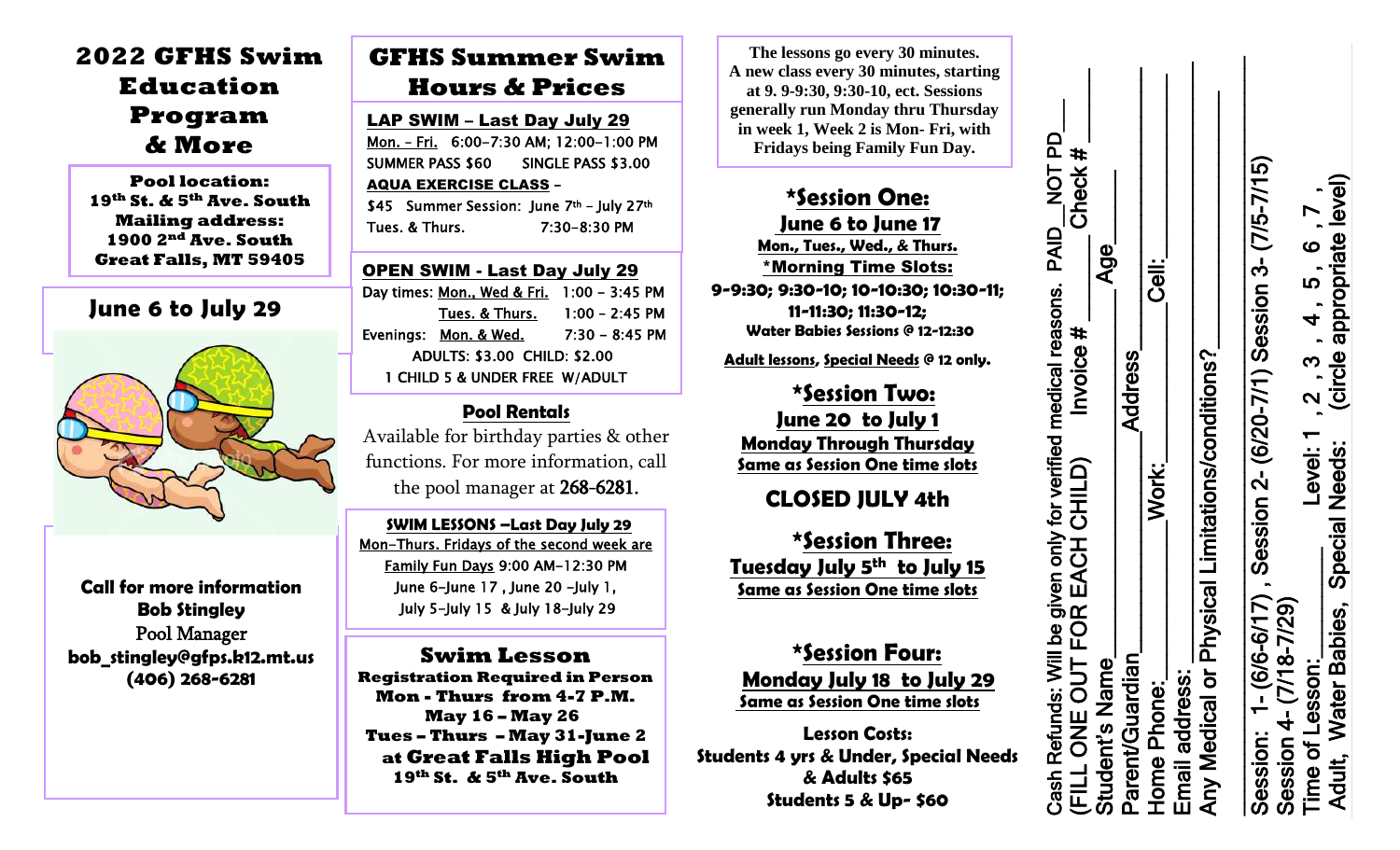# **2022 GFHS Swim Education Program & More**

**Pool location: 19th St. & 5th Ave. South Mailing address: 1900 2nd Ave. South Great Falls, MT 59405**

## **June 6 to July 29**



**Call for more information Bob Stingley** Pool Manager **bob\_stingley@gfps.k12.mt.us (406) 268-6281**

# **GFHS Summer Swim Hours & Prices**

LAP SWIM – Last Day July 29 Mon. – Fri. 6:00-7:30 AM; 12:00-1:00 PM SUMMER PASS \$60 SINGLE PASS \$3.00 AQUA EXERCISE CLASS – \$45 Summer Session: June 7th - July 27th

Tues. & Thurs. 7:30-8:30 PM

OPEN SWIM - Last Day July 29 Day times: Mon., Wed & Fri. 1:00 - 3:45 PM Tues. & Thurs. 1:00 – 2:45 PM Evenings: Mon. & Wed. 7:30 - 8:45 PM ADULTS: \$3.00 CHILD: \$2.00 1 CHILD 5 & UNDER FREE W/ADULT

## **Pool Rentals**

Available for birthday parties & other functions. For more information, call the pool manager at 268-6281.

 **SWIM LESSONS –Last Day July 29** Mon-Thurs. Fridays of the second week are Family Fun Days 9:00 AM-12:30 PM June 6-June 17 , June 20 -July 1, July 5-July 15 & July 18-July 29

Last session is Morning Only

**Swim Lesson Registration Required in Person Mon - Thurs from 4-7 P.M. May 16 – May 26 Tues – Thurs – May 31-June 2 at Great Falls High Pool 19th St. & 5th Ave. South**

**The lessons go every 30 minutes. A new class every 30 minutes, starting at 9. 9-9:30, 9:30-10, ect. Sessions generally run Monday thru Thursday in week 1, Week 2 is Mon- Fri, with Fridays being Family Fun Day.**

# **\*Session One:**

NOT PD

PAID

for verified medical reasons.

Check

**June 6 to June 17**

**Mon., Tues., Wed., & Thurs.** \*Morning Time Slots: **9-9:30; 9:30-10; 10-10:30; 10:30-11; 11-11:30; 11:30-12; Water Babies Sessions @ 12-12:30** 

 **Adult lessons, Special Needs @ 12 only.**

**\*Session Two: June 20 to July 1 Monday Through Thursday Same as Session One time slots**

## **CLOSED JULY 4th**

**\*Session Three: Tuesday July 5 th to July 15 Same as Session One time slots**

**\*Session Four: Monday July 18 to July 29 Same as Session One time slots**

**Lesson Costs: Students 4 yrs & Under, Special Needs & Adults \$65 Students 5 & Up- \$60**

Home Phone:\_\_\_\_\_\_\_\_\_\_\_\_\_Work:\_\_\_\_\_\_\_\_\_\_\_\_\_Cell:\_\_\_\_\_\_\_\_\_\_\_\_\_\_\_ Email address: \_\_\_\_\_\_\_\_\_\_\_\_\_\_\_\_\_\_\_\_\_\_\_\_\_\_\_\_\_\_\_\_\_\_\_\_\_\_\_\_\_\_\_\_\_\_\_\_\_ Any Medical or Physical Limitations/conditions?\_\_\_\_\_\_\_\_\_\_\_\_\_\_\_\_\_\_\_\_\_ \_\_\_\_\_\_\_\_\_\_\_\_\_\_\_\_\_\_\_\_\_\_\_\_\_\_\_\_\_\_\_\_\_\_\_\_\_\_\_\_\_\_\_\_\_\_\_\_\_\_\_\_\_\_\_\_\_\_\_\_\_\_ Session: 1 Cash Refunds: Will be given only for verified medical reasons. PAID\_\_NOT PD\_\_\_ (FILL ONE OUT FOR EACH CHILD) Invoice # \_\_\_\_\_\_\_ Check # \_\_\_\_\_\_ Student's Name\_\_\_\_\_\_\_\_\_\_\_\_\_\_\_\_\_\_\_\_\_\_\_\_\_\_\_\_\_\_ Age\_\_\_\_\_\_ Parent/Guardian\_\_\_\_\_\_\_\_\_\_\_\_\_\_\_\_\_\_Address\_\_\_\_\_\_\_\_\_\_\_\_\_\_\_\_\_\_\_\_\_\_\_  $\#$ Session: 1- (6/6-6/17) , Session 2- (6/20-7/1) Session 3- (7/5-7/15)<br>Session 4- (7/18-7/29)<br>- مصدر مصدر بن مصدر بن مصدر بن مصدر بن مصدر بن مصدر بن مصدر بن مصدر بن مصدر بن مصدر بن مصدر بن مصدر بن مصدر بن Session 4- (7/18-7/29)<br>Time of Lesson:\_\_\_\_\_\_\_\_\_\_\_\_\_Level: 1,2,3,4,5,6,7,  $\blacktriangleright$ ഥ - (7/  $\bullet$ Age Cell: -7/1) Session 3 **LO**  $\overline{\mathbf{r}}$ Invoice  $#$  $2,3$ <br>(circle Any Medical or Physical Limitations/conditions? Address - (6/20 Level: 1 CHILD) Work: 7) , Session 2  $\approx$ Cash Refunds: Will be given only<br>(FILL ONE OUT FOR EACH <u>ငှ</u> Parent/Guardian ပ  $-$  (7/18) Student's Name <u>රි</u><br>-Email address: **Home Phone:** of L Session: **Time** 

Adult, Water Babies, Special Needs: (circle appropriate level) **\$55** 

Needs:

Special

**Babies** 

**Water** 

Adult,

level)

appropriate

 $\blacksquare$ 

 $\blacksquare$ 

 $\blacksquare$ 

 $\blacksquare$